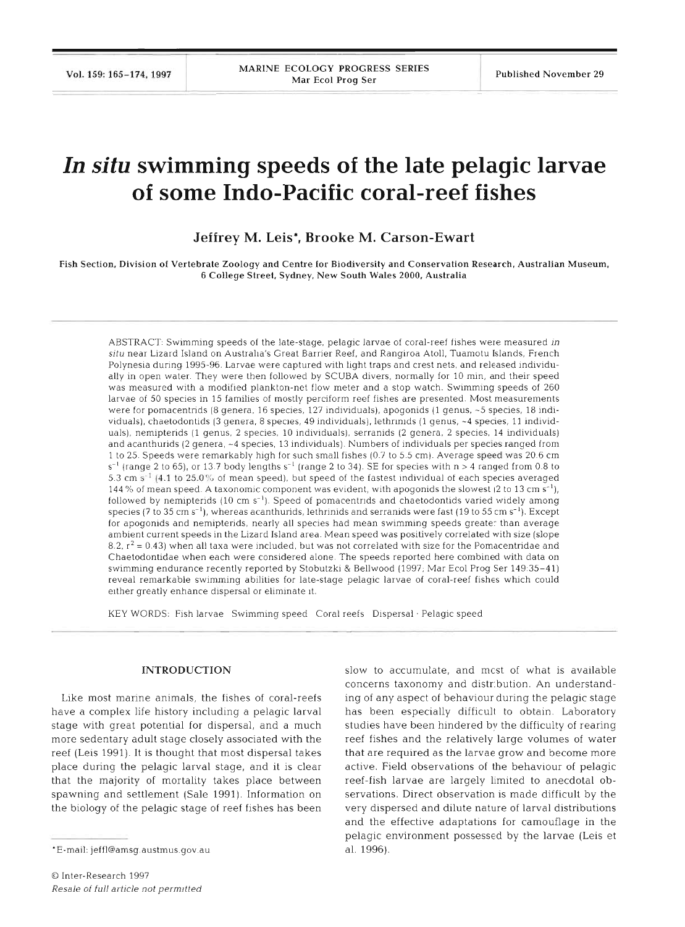# **In situ swimming speeds of the late pelagic larvae of some Indo-Pacific coral-reef fishes**

**Jeffrey M. Leis\*, Brooke M. Carson-Ewart** 

Fish Section, Division of Vertebrate Zoology and Centre for Biodiversity and Conservation Research, Australian Museum. 6 College Street, Sydney, New South Wales 2000, Australia

ABSTRACT: Swimming speeds of the late-stage, pelagic larvae of coral-reef fishes were measured in situ near Lizard Island on Australia's Great Barrier Reef, and Rangiroa Atoll, Tuamotu Islands, French Polynesia during 1995-96. Larvae were captured with light traps and crest nets, and released individually in open water. They were then followed by SCUBA divers, normally for 10 min, and their speed was measured with a modified plankton-net flow meter and a stop watch. Swimming speeds of 260 larvae of 50 species in 15 families of mostly perciform reef fishes are presented. Most measurements were for pomacentrids (8 genera, 16 species, 127 individuals), apogonids (1 genus, ~5 species, 18 individuals), chaetodontids (3 genera. 8 species, 49 individuals), lethrinids (1 genus, ~4 species, 11 individuals), nemipterids (1 genus, 2 species, 10 individuals), serranids (2 genera, 2 species, 14 individuals) and acanthurids (2 genera, ~4 species, 13 individuals). Numbers of individuals per species ranged from 1 to 25 Speeds were remarkably hlgh for such small flshes *(0* 7 to 5 5 cm) Average speed was 20 6 cm  $s^{-1}$  (range 2 to 65), or 13.7 body lengths  $s^{-1}$  (range 2 to 34). SE for species with n > 4 ranged from 0.8 to 5.3 cm  $s^{-1}$  [4.1 to 25.0% of mean speed), but speed of the fastest individual of each species averaged 144 % of mean speed. A taxonomic component was evident, with apogonids the slowest (2 to 13 cm  $s^{-1}$ ), followed by nemipterids  $(10 \text{ cm s}^{-1})$ . Speed of pomacentrids and chaetodontids varied widely among species (7 to 35 cm s<sup>-1</sup>), whereas acanthurids, lethrinids and serranids were fast (19 to 55 cm s<sup>-1</sup>). Except for apogonids and nemipterids, nearly all species had mean swimming speeds greater than average ambient current speeds in the Lizard Island area. Mean speed was positively correlated with size (slope 8.2,  $r^2$  = 0.43) when all taxa were included, but was not correlated with size for the Pomacentridae and Chaetodontidae when each were considered alone. The speeds reported here combined with data on swimming endurance recently reported by Stobutzki & Bellwood (1997; Mar Ecol Prog Ser 149:35-41) reveal remarkable swimming abilities for late-stage pelagic larvae of coral-reef fishes which could either greatly enhance dispersal or eliminate it.

KEY WORDS: Fish larvae Swimming speed Coral reefs Dispersal . Pelagic speed

#### **INTRODUCTION**

Like most marine animals, the fishes of coral-reefs have a complex life history including a pelagic larval stage with great potential for dispersal, and a much more sedentary adult stage closely associated with the reef (Leis 1991). It is thought that most dispersal takes place during the pelagic larval stage, and it is clear that the majority of mortality takes place between spawning and settlement (Sale 1991). Information on the biology of the pelagic stage of reef fishes has been

slow to accumulate, and most of what is available concerns taxonomy and distribution. An understanding of any aspect of behaviour during the pelagic stage has been especially difficult to obtain. Laboratory studies have been hindered by the difficulty of rearing reef fishes and the relatively large volumes of water that are required as the larvae grow and become more active. Field observations of the behaviour of pelagic reef-fish larvae are largely limited to anecdotal observations. Direct observation is made difficult by the very dispersed and dilute nature of larval distributions and the effective adaptations for camouflage in the pelagic environment possessed by the larvae (Leis et al. 1996).

<sup>\*</sup>E-mail: jeffl@amsg.austmus.gov.au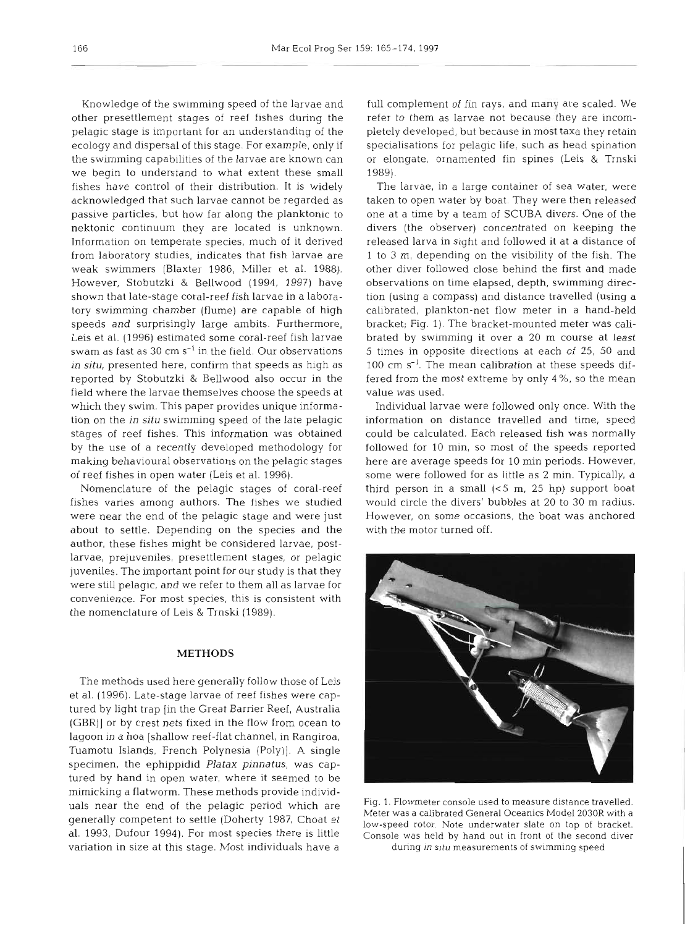Knowledge of the swimming speed of the larvae and other presettlement stages of reef fishes during the pelagic stage is important for an understanding of the ecology and dispersal of this stage. For example, only if the swimming capabilities of the larvae are known can we begin to understand to what extent these small fishes have control of their distribution. It is widely acknowledged that such larvae cannot be regarded as passive particles, but how far along the planktonic to nektonic continuum they are located is unknown. Information on temperate species, much of it derived from laboratory studies, indicates that fish larvae are weak swimmers (Blaxter 1986, Miller et al. 1988). However, Stobutzki & Bellwood (1994, 1997) have shown that late-stage coral-reef fish larvae in a laboratory swimming chamber (flume) are capable of high speeds and surprisingly large ambits. Furthermore, Leis et al. (1996) estimated some coral-reef fish larvae swam as fast as  $30 \text{ cm s}^{-1}$  in the field. Our observations in **situ,** presented here, confirm that speeds as high as reported by Stobutzki & Bellwood also occur in the field where the larvae themselves choose the speeds at which they swim. This paper provides unique information on the in **situ** swimming speed of the late pelagic stages of reef fishes. This information was obtained by the use of a recently developed methodology for making behavioural observations on the pelagic stages of reef fishes in open water (Leis et al. 1996).

Nomenclature of the pelagic stages of coral-reef fishes varies among authors. The fishes we studied were near the end of the pelagic stage and were just about to settle. Depending on the species and the author, these fishes might be considered larvae, postlarvae, prejuveniles, presettlement stages, or pelagic juveniles. The important point for our study is that they were still pelagic, and we refer to them all as larvae for convenience. For most species, this is consistent with the nomenclature of Leis & Trnski (1989).

## **METHODS**

The methods used here generally follow those of Leis et al. (1996). Late-stage larvae of reef fishes were captured by light trap [in the Great Barrier Reef, Australia (GBR)] or by crest nets fixed in the flow from ocean to lagoon in a hoa [shallow reef-flat channel, in Rangiroa, Tuamotu Islands, French Polynesia (Poly)]. A single specimen, the ephippidid Platax *pinnatus,* was captured by hand in open water, where it seemed to be mimicking a flatworm. These methods provide individuals near the end of the pelagic period which are generally competent to settle (Doherty 1987, Choat et al. 1993, Dufour 1994). For most species there is little variation in size at this stage. Most individuals have a

full complement of fin rays, and many are scaled. We refer to them as larvae not because they are incompletely developed, but because in most taxa they retain specialisations for pelagic life, such as head spination or elongate, ornamented fin spines (Leis & Trnski 1989).

The larvae, in a large container of sea water, were taken to open water by boat. They were then released one at a time by a team of SCUBA divers. One of the divers (the observer) concentrated on keeping the released larva in sight and followed it at a distance of 1 to **3** m, depending on the visibility of the fish. The other diver followed close behind the first and made observations on time elapsed, depth, swimming direction (using a compass) and distance travelled (using a calibrated, plankton-net flow meter in a hand-held bracket; Fig. 1). The bracket-mounted meter was calibrated by swimming it over a 20 m course at least 5 times in opposite directions at each of 25, 50 and 100 cm  $s^{-1}$ . The mean calibration at these speeds differed from the most extreme by only 4 %, so the mean value was used.

Individual larvae were followed only once. With the information on distance travelled and time, speed could be calculated. Each released fish was normally followed for 10 min, so most of the speeds reported here are average speeds for 10 min periods. However, some were followed for as little as 2 min. Typically, a third person in a small **(<5** m, 25 hp) support boat would circle the divers' bubbles at 20 to 30 m radius. However, on some occasions, the boat was anchored with the motor turned off.



Fig. 1. Flowmeter console used to measure distance travelled. Meter was a calibrated General Oceanics Model 2030R with a low-speed rotor. Note underwater slate on top of bracket. Console was held by hand out in front of the second diver during in situ measurements of swimming speed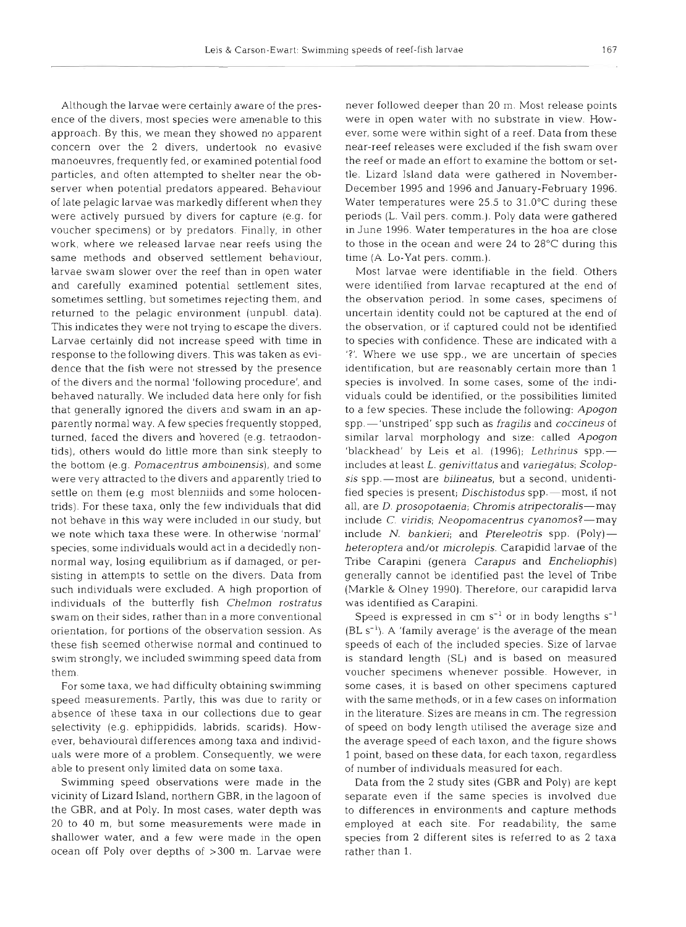Although the larvae were certainly aware of the presence of the divers, most species were amenable to this approach. By this, we mean they showed no apparent concern over the 2 divers, undertook no evasive manoeuvres, frequently fed, or examined potential food particles, and often attempted to shelter near the observer when potential predators appeared. Behaviour of late pelagic larvae was markedly different when they were actively pursued by divers for capture (e.g. for voucher specimens) or by predators. Finally, in other work, where we released larvae near reefs using the same methods and observed settlement behaviour. larvae swam slower over the reef than in open water and carefully examined potential settlement sites, sometimes settling, but sometimes rejecting them, and returned to the pelagic environment (unpubl. data). This indicates they were not trying to escape the divers. Larvae certainly did not increase speed with time in response to the following divers. This was taken as evidence that the fish were not stressed by the presence of the divers and the normal 'following procedure', and behaved naturally. We included data here only for fish that generally ignored the divers and swam in an apparently normal way. A few species frequently stopped, turned, faced the divers and hovered (e.g. tetraodontids), others would do little more than sink steeply to the bottom (e.g. Pomacentrus amboinensis), and some were very attracted to the divers and apparently tried to settle on them (e.g most blenniids and some holocentrids). For these taxa, only the few individuals that did not behave in this way were included in our study, but we note which taxa these were. In otherwise 'normal' species, some individuals would act in a decidedly nonnormal way, losing equilibrium as if damaged, or persisting in attempts to settle on the divers. Data from such individuals were excluded. A high proportion of individuals of the butterfly fish Chelmon rostratus swam on their sides, rather than in a more conventional orientation, for portions of the observation session. As these fish seemed otherwise normal and continued to swim strongly, we included swimming speed data from them.

For some taxa, we had difficulty obtaining swimming speed measurements. Partly, this was due to rarity or absence of these taxa in our collections due to gear selectivity (e.g. ephippidids, labrids, scarids). However, behavioural differences among taxa and individuals were more of a problem. Consequently, we were able to present only limited data on some taxa.

Swimming speed observations were made in the vicinity of Lizard Island, northern GBR, in the lagoon of the GBR, and at Poly. In most cases, water depth was 20 to 40 m, but some measurements were made in shallower water, and a few were made in the open ocean off Poly over depths of >300 m. Larvae were

never followed deeper than 20 m. Most release points were in open water with no substrate in view. HOWever, some were within sight of a reef. Data from these near-reef releases were excluded if the fish swam over the reef or made an effort to examine the bottom or settle. Lizard Island data were gathered in November-December 1995 and 1996 and January-February 1996. Water temperatures were 25.5 to 31.0°C during these periods (L. Vail pers. comm.). Poly data were gathered in June 1996. Water temperatures in the hoa are close to those in the ocean and were 24 to 28°C during this time (A. Lo-Yat pers. comm.).

Most larvae were identifiable in the field. Others were identified from larvae recaptured at the end of the observation period. In some cases, specimens of uncertain identity could not be captured at the end of the observation, or if captured could not be identified to species with confidence. These are indicated with a '?'. Where we use spp., we are uncertain of species identification, but are reasonably certain more than 1 species is involved. In some cases, some of the individuals could be identified, or the possibilities limited to a few species. These include the following: Apogon spp.-'unstriped' spp such as *fragilis* and *coccineus* of similar larval morphology and size: called Apogon 'blackhead' by Leis et al. (1996); Lethrinus spp.includes at least L. genivittatus and variegatus; Scolopsis spp.-most are bilineatus, but a second, unidentified species is present; Dischistodus spp.-most, if not all, are D. prosopotaenia; Chromis atripectoralis-may include C. viridis; Neopomacentrus cyanomos?-may include N. bankieri; and Ptereleotris spp.  $(Poly)$  heteroptera and/or microlepis. Carapidid larvae of the Tribe Carapini (genera *Carapus* and *Encheliophis*) generally cannot be identified past the level of Tribe (Markle & Olney 1990). Therefore, our carapidid larva was identified as Carapini.

Speed is expressed in  $cm s^{-1}$  or in body lengths  $s^{-1}$  $(BL s<sup>-1</sup>)$ . A 'family average' is the average of the mean speeds of each of the included species. Size of larvae is standard length (SL) and is based on measured voucher specimens whenever possible. However, in some cases, it is based on other specimens captured with the same methods, or in a few cases on information in the literature. Sizes are means in cm. The regression of speed on body length utilised the average size and the average speed of each taxon, and the figure shows 1 point, based on these data, for each taxon, regardless of number of individuals measured for each.

Data from the 2 study sites (GBR and Poly) are kept separate even if the same species is involved due to differences in environments and capture methods employed at each site. For readability, the same species from 2 different sites is referred to as 2 taxa rather than 1.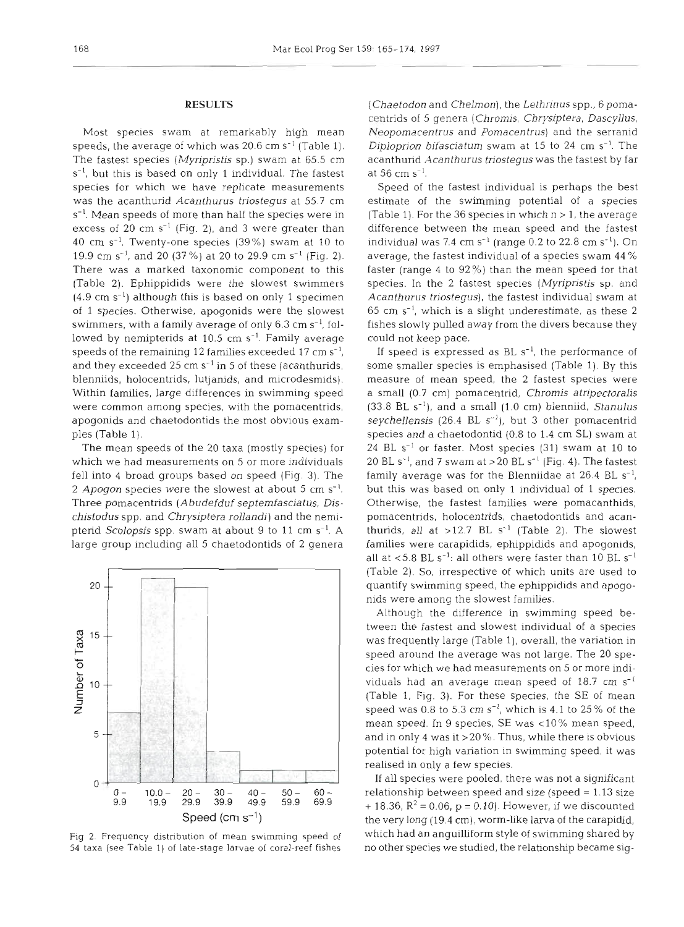#### **RESULTS**

Most species swam at remarkably high mean speeds, the average of which was  $20.6 \text{ cm s}^{-1}$  (Table 1). The fastest species (Myripristis sp.) swam at 65.5 cm  $s^{-1}$ , but this is based on only 1 individual. The fastest species for which we have replicate measurements was the acanthurid Acanthurus triostegus at 55.7 cm s<sup>-1</sup>. Mean speeds of more than half the species were in excess of 20 cm  $s^{-1}$  (Fig. 2), and 3 were greater than 40 cm  $s^{-1}$ . Twenty-one species (39%) swam at 10 to 19.9 cm s<sup>-1</sup>, and 20 (37%) at 20 to 29.9 cm s<sup>-1</sup> (Fig. 2). There was a marked taxonomic component to this (Table 2). Ephippidids were the slowest swimmers  $(4.9 \text{ cm s}^{-1})$  although this is based on only 1 specimen of 1 species. Otherwise, apogonids were the slowest swimmers, with a family average of only  $6.3 \text{ cm s}^{-1}$ , followed by nemipterids at  $10.5 \text{ cm s}^{-1}$ . Family average speeds of the remaining 12 families exceeded 17 cm  $s^{-1}$ , and they exceeded 25 cm  $s^{-1}$  in 5 of these (acanthurids, blenniids, holocentrids, lutjanids, and microdesmids). Within families, large differences in swimming speed were common among species, with the pomacentrids, apogonids and chaetodontids the most obvious examples (Table 1).

The mean speeds of the 20 taxa (mostly species) for which we had measurements on 5 or more individuals fell into 4 broad groups based on speed (Fig. 3). The 2 Apogon species were the slowest at about 5 cm  $s^{-1}$ . Three pomacentrids (Abudefduf septemfasciatus, Dischistodus spp. and Chrysiptera rollandi) and the nemipterid Scolopsis spp. swam at about 9 to 11 cm  $s^{-1}$ . A large group including all 5 chaetodontids of 2 genera



Fig **2.** Frequency distribution of mean swimming speed of 54 taxa (see Table 1) of late-stage larvae of coral-reef fishes

(Chaetodon and Chelmon), the Lethrinus spp., 6 pomacentrids of 5 genera (Chromis, Chrysjptera, Dascyllus, Neopomacentrus and Pomacentrus) and the serranid Diploprion bifasciatum swam at 15 to 24 cm  $s^{-1}$ . The acanthurid Acanthurus triostegus was the fastest by far at 56 cm  $s^{-1}$ .

Speed of the fastest individual is perhaps the best estimate of the swimming potential of a species (Table 1). For the 36 species in which  $n > 1$ , the average difference between the mean speed and the fastest individual was 7.4 cm  $s^{-1}$  (range 0.2 to 22.8 cm  $s^{-1}$ ). On average, the fastest individual of a species swam 44 % faster (range 4 to  $92\%$ ) than the mean speed for that species. In the 2 fastest species (Myripristis sp. and Acanthurus triostegus), the fastest individual swam at  $65$  cm s<sup>-1</sup>, which is a slight underestimate, as these 2 fishes slowly pulled away from the divers because they could not keep pace.

If speed is expressed as BL  $s^{-1}$ , the performance of some smaller species is emphasised (Table 1). By this measure of mean speed, the 2 fastest species were a small (0.7 cm) pomacentrid, Chromis atripectoralis  $(33.8 \text{ BL s}^{-1})$ , and a small  $(1.0 \text{ cm})$  blenniid, *Stanulus* seychellensis (26.4 BL S-'), but **3** other pomacentrid species and a chaetodontid (0.8 to 1.4 cm SL) swam at 24 BL  $s^{-1}$  or faster. Most species (31) swam at 10 to 20 BL S-', and **7** swam at >20 BL S-' (Fig. 4). The fastest family average was for the Blenniidae at  $26.4$  BL s<sup>-1</sup>, but this was based on only 1 individual of 1 species. Otherwise, the fastest families were pomacanthids, pomacentrids, holocentrids, chaetodontids and acanthurids, all at  $>12.7$  BL s<sup>-1</sup> (Table 2). The slowest families were carapidids, ephippidids and apogonids, all at  $<$  5.8 BL s<sup>-1</sup>: all others were faster than 10 BL s<sup>-1</sup> (Table 2). So, irrespective of which units are used to quantify swimming speed, the ephippidids and apogonids were among the slowest families.

Although the difference in swimming speed between the fastest and slowest individual of a species was frequently large (Table l), overall, the variation in speed around the average was not large. The 20 species for which we had measurements on 5 or more individuals had an average mean speed of  $18.7 \text{ cm s}^{-1}$ (Table 1, Fig. 3). For these species, the SE of mean speed was 0.8 to 5.3 cm  $s^{-1}$ , which is 4.1 to 25% of the mean speed. In 9 species, SE was  $< 10\%$  mean speed, and in only 4 was it >20 %. Thus, while there is obvious potential for high variation in swimming speed, it was realised in only a few species.

If all species were pooled, there was not a significant relationship between speed and size (speed = 1.13 size + 18.36,  $R^2$  = 0.06, p = 0.10). However, if we discounted the very long (19.4 cm), worm-like larva of the carapidid, which had an angullliform style of swimming shared by no other species we studied, the relationship became sig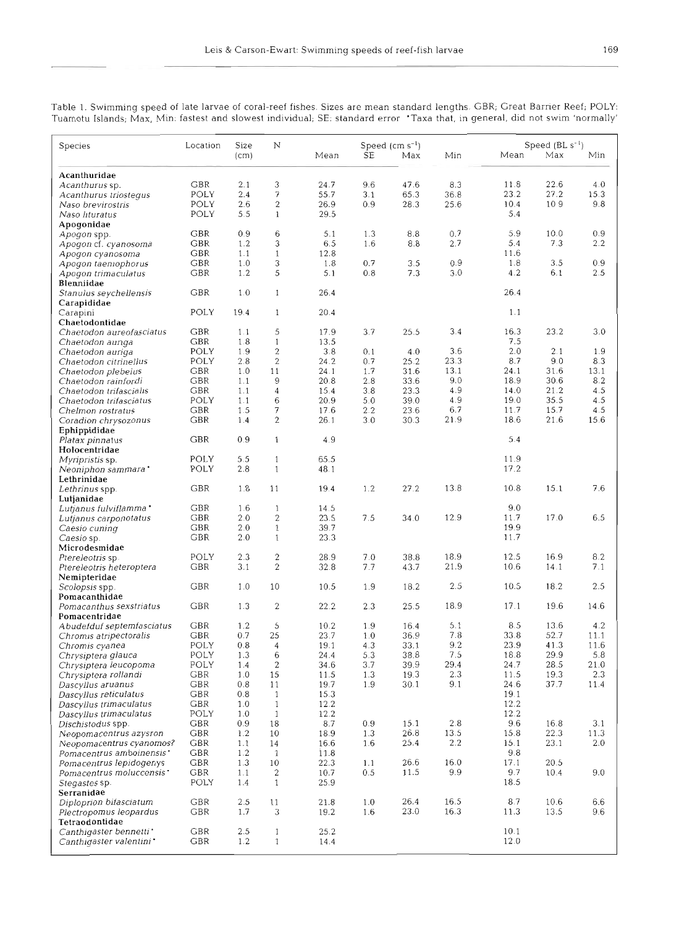*Table* 1. *Swimming speed of late larvae of coral-reef fishes. Sizes are mean standard lengths.* GBR; *Great Barrier Reef; POLY: Tuamotu Islands;* **Max,** hkn: *fastest and slowest individual; SE: standard error 'Taxa that, in general, did not swim 'normally'* 

|                                                  |                                |              |                                |              | Speed $(cm s^{-1})$ |              |              | Speed $(BL s^{-1})$ |              |               |  |
|--------------------------------------------------|--------------------------------|--------------|--------------------------------|--------------|---------------------|--------------|--------------|---------------------|--------------|---------------|--|
| Species                                          | Location                       | Size<br>(cm) | N                              | Mean         | SE                  | Max          | Min          | Mean                | Max          | Min           |  |
|                                                  |                                |              |                                |              |                     |              |              |                     |              |               |  |
| Acanthuridae                                     |                                |              |                                |              |                     |              |              |                     |              |               |  |
| Acanthurus sp.                                   | <b>GBR</b>                     | 2.1          | 3                              | 24.7         | 9.6                 | 47.6<br>65.3 | 8.3<br>36.8  | 11.8<br>23.2        | 22.6<br>27.2 | 4.0<br>15.3   |  |
| Acanthurus triostegus                            | POLY<br>POLY                   | 2.4<br>2.6   | 7<br>$\mathbf{2}$              | 55.7<br>26.9 | 3.1<br>0.9          | 28.3         | 25.6         | 10.4                | 109          | 9.8           |  |
| Naso brevirostris<br>Naso lituratus              | POLY                           | 5.5          | $\mathbf{1}$                   | 29.5         |                     |              |              | 5.4                 |              |               |  |
| Apogonidae                                       |                                |              |                                |              |                     |              |              |                     |              |               |  |
| Apogon spp.                                      | GBR                            | 0.9          | 6                              | 5.1          | 1.3                 | 8.8          | 0.7          | 5.9                 | 10.0         | 0.9           |  |
| Apogon cf. cyanosoma                             | GBR                            | 1.2          | 3                              | 6.5          | 1.6                 | 8.8          | 2.7          | 5.4                 | 7.3          | $2.2^{\circ}$ |  |
| Apogon cyanosoma                                 | GBR                            | 1.1          | $\mathbf{1}$                   | 12.8         |                     |              |              | 11.6                |              |               |  |
| Apogon taemophorus                               | GBR                            | 1.0          | 3                              | 1.8          | 0.7                 | 3.5          | 0.9          | 1.8                 | 3.5          | 0.9           |  |
| Apogon trimaculatus                              | GBR                            | 1.2          | 5                              | 5.1          | 0.8                 | 7.3          | 3.0          | 4.2                 | 6.1          | 2.5           |  |
| Blenniidae                                       |                                |              |                                |              |                     |              |              |                     |              |               |  |
| Stanulus seychellensis                           | GBR                            | 1.0          | 1                              | 26.4         |                     |              |              | 26.4                |              |               |  |
| Carapididae                                      |                                |              |                                | 20.4         |                     |              |              | 1.1                 |              |               |  |
| Carapini                                         | POLY                           | 19.4         | $\mathbf{1}$                   |              |                     |              |              |                     |              |               |  |
| Chaetodontidae<br>Chaetodon aureofasciatus       | <b>GBR</b>                     | 1.1          | 5                              | 17.9         | 3.7                 | 25.5         | 3.4          | 16.3                | 23.2         | 3.0           |  |
| Chaetodon aunga                                  | GBR                            | 1.8          | $\mathbf{1}$                   | 13.5         |                     |              |              | 7.5                 |              |               |  |
| Chaetodon auriga                                 | <b>POLY</b>                    | 1.9          | $\overline{c}$                 | 3.8          | 0.1                 | 4.0          | 3.6          | 2.0                 | 2.1          | 1.9           |  |
| Chaetodon citrinellus                            | POLY                           | 2.8          | $\overline{2}$                 | 24.2         | 0.7                 | 25.2         | 23.3         | 8.7                 | 9.0          | 8.3           |  |
| Chaetodon plebeius                               | GBR                            | 1.0          | 11                             | 24.1         | 1.7                 | 31.6         | 13.1         | 24.1                | 31.6         | 13.1          |  |
| Chaetodon rainfordi                              | GBR                            | 1.1          | 9                              | 20.8         | 2.8                 | 33.6         | 9.0          | 18.9                | 30.6         | 8.2           |  |
| Chaetodon trifascialis                           | GBR                            | 1.1          | $\overline{4}$                 | 15.4         | 3.8                 | 23.3         | 4.9          | 14.0                | 21.2         | 4.5           |  |
| Chaetodon trifasciatus                           | POLY                           | 1.1          | 6                              | 20.9         | 5.0                 | 39.0         | 4.9          | 19.0                | 35.5         | 4.5           |  |
| Chelmon rostratus                                | GBR                            | 1.5          | 7                              | 17.6         | $2.2\,$             | 23.6         | 6.7          | 11.7                | 15.7         | 4.5           |  |
| Coradion chrysozonus                             | <b>GBR</b>                     | 1.4          | $\overline{c}$                 | 26.1         | 3.0                 | 30.3         | 21.9         | 18.6                | 21.6         | 15.6          |  |
| Ephippididae                                     |                                |              |                                | 4.9          |                     |              |              | 5.4                 |              |               |  |
| Platax pinnatus                                  | GBR                            | 0.9          | $\mathbf{1}$                   |              |                     |              |              |                     |              |               |  |
| Holocentridae<br><i>Myripristis</i> sp.          | POLY                           | 5.5          | $\mathbf{1}$                   | 65.5         |                     |              |              | 11.9                |              |               |  |
| Neoniphon sammara *                              | POLY                           | 2.8          | $\mathbf{1}$                   | 48.1         |                     |              |              | 17.2                |              |               |  |
| Lethrinidae                                      |                                |              |                                |              |                     |              |              |                     |              |               |  |
| Lethrinus spp.                                   | GBR                            | 1.8          | 11                             | 19.4         | 1.2                 | 27.2         | 13.8         | 10.8                | 15.1         | 7.6           |  |
| Lutjanidae                                       |                                |              |                                |              |                     |              |              |                     |              |               |  |
| Lutjanus fulviflamma *                           | GBR                            | 1.6          | $\mathbf{1}$                   | 14.5         |                     |              |              | 9.0                 |              |               |  |
| Lutjanus carponotatus                            | <b>GBR</b>                     | 2.0          | 2                              | 23.5         | 7.5                 | 34.0         | 12.9         | 11.7                | 17.0         | 6.5           |  |
| Caesio cuning                                    | GBR                            | 2.0          | 1                              | 39.7         |                     |              |              | 19.9                |              |               |  |
| Caesio sp.                                       | GBR                            | 2.0          | $\mathbf{1}$                   | 23.3         |                     |              |              | 11.7                |              |               |  |
| Microdesmidae                                    |                                |              |                                |              |                     |              |              |                     |              | 8.2           |  |
| Ptereleotris sp.                                 | POLY                           | 2.3          | $\overline{c}$<br>$\mathbf{2}$ | 28.9         | 7.0<br>7.7          | 38.8<br>43.7 | 18.9<br>21.9 | 12.5<br>10.6        | 16.9<br>14.1 | 7.1           |  |
| Ptereleotris heteroptera                         | GBR                            | 3.1          |                                | 32.8         |                     |              |              |                     |              |               |  |
| Nemipteridae<br>Scolopsis spp.                   | <b>GBR</b>                     | 1.0          | 10                             | 10.5         | 1.9                 | 18.2         | 2.5          | 10.5                | 18.2         | 2.5           |  |
| Pomacanthidae                                    |                                |              |                                |              |                     |              |              |                     |              |               |  |
| Pomacanthus sexstriatus                          | GBR                            | 1.3          | $\mathbf{2}$                   | 22.2         | 2.3                 | 25.5         | 18.9         | 17.1                | 19.6         | 14.6          |  |
| Pomacentridae                                    |                                |              |                                |              |                     |              |              |                     |              |               |  |
| Abudefduf septemfasciatus                        | <b>GBR</b>                     | 1.2          | 5                              | 10.2         | 1.9                 | 16.4         | 5.1          | 8.5                 | 13.6         | 4.2           |  |
| Chromis atripectoralis                           | GBR                            | 0.7          | 25                             | 23.7         | 1.0                 | 36.9         | 7.8          | 33.8                | 52.7         | 11.1          |  |
| Chromis cyanea                                   | POLY                           | 0.8          | 4                              | 19.1         | 4.3                 | 33.1         | 9.2          | 23.9                | 41.3         | 11.6          |  |
| Chrysiptera glauca                               | POLY                           | 1.3          | 6                              | 24.4         | 5.3                 | 38.8         | 7.5          | 18.8                | 29.9         | 5.8           |  |
| Chrysiptera leucopoma                            | POLY                           | 1.4          | 2                              | 34.6         | 3.7                 | 39.9         | 29.4         | 24.7                | 28.5         | 21.0          |  |
| Chrysiptera rollandi                             | <b>GBR</b>                     | 1.0          | 15                             | 11.5         | 1.3                 | 19.3         | 2.3          | 11.5                | 19.3         | 2.3           |  |
| Dascyllus aruanus                                | GBR                            | 0.8          | 11                             | 19.7         | 1.9                 | 30.1         | 9.1          | 24.6                | 37.7         | 11.4          |  |
| Dascyllus reticulatus                            | GBR                            | 0.8          | $\mathbf{1}$<br>$\mathbf{1}$   | 15.3<br>12.2 |                     |              |              | 19.1<br>12.2        |              |               |  |
| Dascyllus trimaculatus                           | ${\small\textsf{GRR}}$<br>POLY | 1.0<br>1.0   | $\mathbf{1}$                   | 12.2         |                     |              |              | 12.2                |              |               |  |
| Dascyllus trimaculatus<br>Dischistodus spp.      | GBR                            | 0.9          | 18                             | 8.7          | 0.9                 | 15.1         | 2.8          | 9.6                 | 16.8         | 3.1           |  |
| Neopomacentrus azysron                           | <b>GBR</b>                     | 1.2          | 10                             | 18.9         | 1.3                 | 26.8         | 13.5         | 15.8                | 22.3         | 11.3          |  |
| Neupomacentrus cyanomos?                         | GBR                            | 1.1          | 14                             | 16.6         | 1.6                 | 25.4         | 2.2          | 15.1                | 23.1         | 2.0           |  |
| Pomacentrus amboinensis                          | GBR                            | 1.2          | $\mathbf{1}$                   | 11.8         |                     |              |              | 9.8                 |              |               |  |
| Pomacentrus lepidogenys                          | <b>GBR</b>                     | 1.3          | 10                             | 22.3         | 1.1                 | 26.6         | 16.0         | 17.1                | 20.5         |               |  |
| Pomacentrus moluccensis'                         | GBR                            | 1.1          | 2                              | 10.7         | 0.5                 | 11.5         | 9.9          | 9.7                 | 10.4         | 9.0           |  |
| Stegastes sp.                                    | POLY                           | 1.4          | $\mathbf{1}$                   | 25.9         |                     |              |              | 18.5                |              |               |  |
| Serranidae                                       |                                |              |                                |              |                     |              |              |                     |              |               |  |
| Diploprion bifasciatum                           | <b>GBR</b>                     | 2.5          | 11                             | 21.8         | 1.0                 | 26.4         | 16.5         | 8.7                 | 10.6         | 6.6           |  |
| Plectropomus leopardus                           | GBR                            | 1.7          | 3                              | 19.2         | 1.6                 | 23.0         | 16.3         | 11.3                | 13.5         | 9.6           |  |
|                                                  |                                |              |                                |              |                     |              |              |                     |              |               |  |
| Tetraodontidae                                   |                                |              |                                |              |                     |              |              |                     |              |               |  |
| Canthigaster bennetti<br>Canthigaster valentini* | gbr<br>GBR                     | 2.5<br>1.2   | $\mathbf{1}$<br>$\mathbf{1}$   | 25.2<br>14.4 |                     |              |              | 10.1<br>12.0        |              |               |  |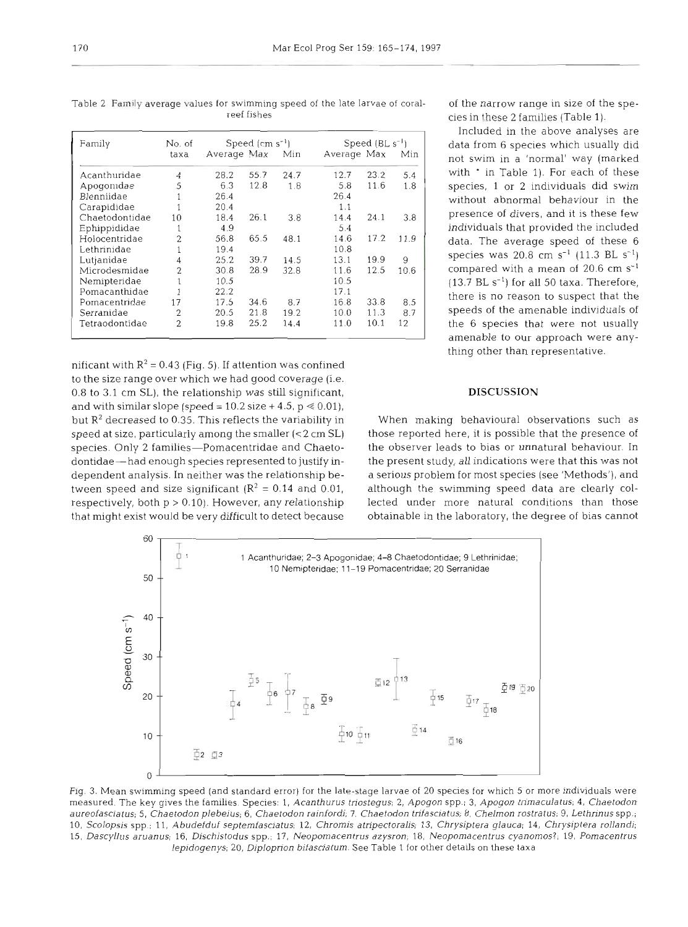| Family         | No. of         |             | Speed $(cm s-1)$ |      | Speed $(BL s^{-1})$ |      |      |  |
|----------------|----------------|-------------|------------------|------|---------------------|------|------|--|
|                | taxa           | Average Max |                  | Min  | Average Max         |      | Min  |  |
| Acanthuridae   | 4              | 28.2        | 55.7             | 24.7 | 12.7                | 23.2 | 5.4  |  |
| Apogonidae     | 5              | 6.3         | 12.8             | 1.8  | 5.8                 | 11.6 | 1.8  |  |
| Blenniidae     |                | 26.4        |                  |      | 26.4                |      |      |  |
| Carapididae    |                | 20.4        |                  |      | 1.1                 |      |      |  |
| Chaetodontidae | 10             | 18.4        | 26.1             | 3.8  | 14.4                | 24.1 | 3.8  |  |
| Ephippididae   |                | 4.9         |                  |      | 5.4                 |      |      |  |
| Holocentridae  | $\overline{2}$ | 56.8        | 65.5             | 48.1 | 14.6                | 17.2 | 11.9 |  |
| Lethrinidae    |                | 19.4        |                  |      | 10.8                |      |      |  |
| Lutjanidae     |                | 25.2        | 39.7             | 14.5 | 13.1                | 19.9 | 9    |  |
| Microdesmidae  | $\overline{2}$ | 30.8        | 28.9             | 32.8 | 11.6                | 12.5 | 10.6 |  |
| Nemipteridae   |                | 10.5        |                  |      | 10.5                |      |      |  |
| Pomacanthidae  |                | 22.2        |                  |      | 17.1                |      |      |  |
| Pomacentridae  | 17             | 17.5        | 34.6             | 8.7  | 16.8                | 33.8 | 8.5  |  |
| Serranidae     | 2              | 20.5        | 21.8             | 19.2 | 10.0                | 11.3 | 8.7  |  |
| Tetraodontidae | 2              | 19.8        | 25.2             | 14.4 | 11.0                | 10.1 | 12   |  |

Table 2 Family average values for swimming speed of the late larvae of coral- of the narrow range in size of the spe-<br>reef fishes speed of the late larvae of coral- ories in these 2 families (Table 1)

nificant with  $R^2 = 0.43$  (Fig. 5). If attention was confined to the size range over which we had good coverage (i.e. 0.8 to 3.1 cm SL), the relationship was still significant, and with similar slope (speed =  $10.2$  size + 4.5, p  $\leq 0.01$ ), but  $R^2$  decreased to 0.35. This reflects the variability in When making behavioural observations such as speed at size, particularly among the smaller  $( $2 \text{ cm SL}$ )$  those reported here, it is possible that the presence of species. Only 2 families-Pomacentridae and Chaeto- the observer leads to bias or unnatural behaviour. In dontidae-had enough species represented to justify in-<br>the present study, all indications were that this was not dependent analysis. In neither was the relationship be-<br>tween speed and size significant  $(R^2 = 0.14$  and 0.01, although the swimming speed data are clearly colrespectively, both p > 0.10). However, any relationship lected under more natural conditions than those that might exist would be very difficult to detect because obtainable in the laboratory, the degree of bias cannot

cies in these 2 families (Table 1).

Included in the above analyses are data from 6 species which usually did not swim in a 'normal' way (marked with ' in Table 1). For each of these species, 1 or 2 individuals did swim without abnormal behaviour in the presence of divers, and it is these few individuals that provided the included data. The average speed of these 6 species was 20.8 cm  $s^{-1}$  (11.3 BL  $s^{-1}$ ) compared with a mean of 20.6 cm *S-'*   $(13.7 \text{ BL s}^{-1})$  for all 50 taxa. Therefore, there is no reason to suspect that the speeds of the amenable individuals of<br>the 6 species that were not usually amenable to our approach were anything other than representative.

### **DISCUSSION**

although the swimming speed data are clearly col-



Fig. 3. Mean swimming speed (and standard error) for the late-stage larvae of 20 species for which 5 or more individuals were measured. The key gives the families. Species: 1, Acanthurus triostegus; 2, Apogon spp.; 3, Apogon trimaculatus; 4, Chaetodon aureofasciatus; 5. Chaetodon plebeius; 6, Chaetodon ralnfordi; 7. Chaetodon tnfasciatus; 8. Chelmon rostratus; 9, Lethrinus spp.; 10, Scolopsis spp.; 11, Abudefduf septemfasciatus; 12, Chromis atripectoralis; 13, Chrysiptera glauca; 14, Chrysiptera rolland;; 15, Dascyllus aruanus; 16, Dischistodus spp.; 17, Neopomacentrus azysron; 18, Neopomacentrus cyanomos?; 19, Pomacentrus lepidogenys; 20, Diploprion bifasciatum. See Table 1 for other details on these taxa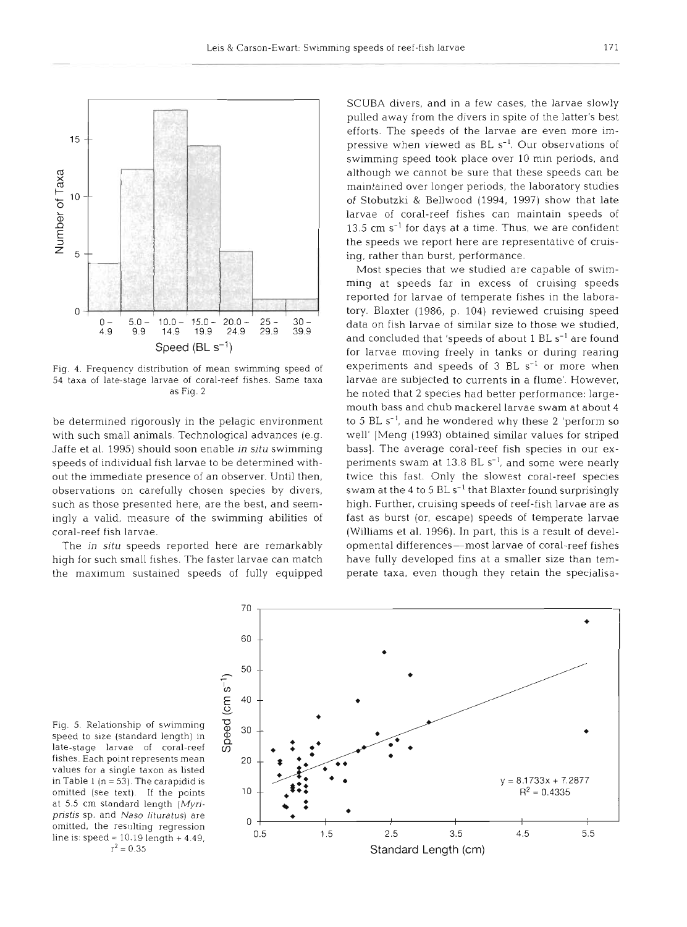

Fig. 4. Frequency distribution of mean swimming speed of 54 taxa of late-stage larvae of coral-reef fishes. Same taxa as Fig. 2

be determined rigorously in the pelagic environment with such small animals. Technological advances (e.g. Jaffe et al. 1995) should soon enable in **situ** swimming speeds of individual fish larvae to be determined without the immediate presence of an observer. Until then, observations on carefully chosen species by divers, such as those presented here, are the best, and seemingly a valid, measure of the swimming abilities of coral-reef fish larvae.

The *jn* situ speeds reported here are remarkably high for such small fishes. The faster larvae can match the maximum sustained speeds of fully equipped

SCUBA divers, and in a few cases, the larvae slowly pulled away from the divers in spite of the latter's best efforts. The speeds of the larvae are even more impressive when viewed as BL s<sup>-1</sup>. Our observations of swimming speed took place over 10 min periods, and although we cannot be sure that these speeds can be maintained over longer periods, the laboratory studies of Stobutzki & Bellwood (1994, 1997) show that late larvae of coral-reef fishes can maintain speeds of  $13.5$  cm s<sup>-1</sup> for days at a time. Thus, we are confident the speeds we report here are representative of cruising, rather than burst, performance.

Most species that we studied are capable of swimming at speeds far in excess of cruising speeds reported for larvae of temperate fishes in the laboratory. Blaxter (1986, p. 104) reviewed cruising speed data on fish larvae of similar size to those we studied, and concluded that 'speeds of about  $1 \text{ BL s}^{-1}$  are found for larvae moving freely in tanks or during rearing experiments and speeds of  $3$  BL  $s^{-1}$  or more when larvae are subjected to currents in a flume'. However, he noted that 2 species had better performance: largemouth bass and chub mackerel larvae swam at about 4 to 5 BL S-', and he wondered why these **2** 'perform so well' [Meng (1993) obtained similar values for striped bass]. The average coral-reef fish species in our experiments swam at 13.8 BL s<sup>-1</sup>, and some were nearly twice this fast. Only the slowest coral-reef species swam at the 4 to 5  $BL s^{-1}$  that Blaxter found surprisingly high. Further, cruising speeds of reef-fish larvae are as fast as burst (or, escape) speeds of temperate larvae (Williams et al. 1996). In part, this is a result of developmental differences-most larvae of coral-reef fishes have fully developed fins at a smaller size than temperate taxa, even though they retain the specialisa-



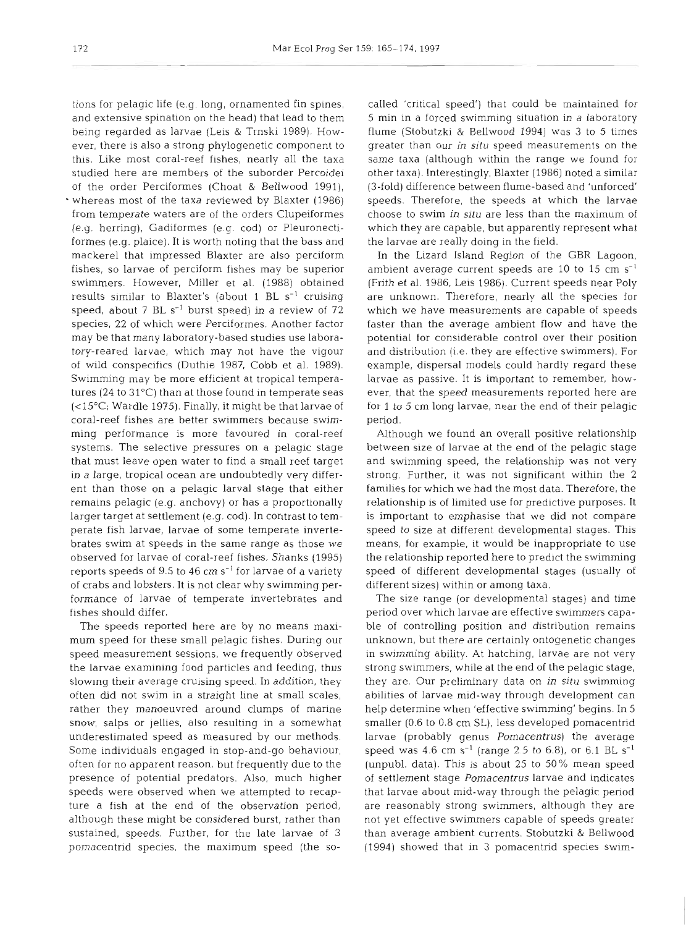tions for pelagic life (e.g. long, ornamented fin spines, and extensive spination on the head) that lead to them being regarded as larvae (Leis & Trnski 1989). However, there is also a strong phylogenetic component to this. Like most coral-reef fishes, nearly all the taxa studied here are members of the suborder Percoidei of the order Perciformes (Choat & Bellwood 1991), whereas most of the taxa reviewed by Blaxter (1986) from temperate waters are of the orders Clupeiformes (e.g. herring), Gadiformes (e.g. cod) or Pleuronectiformes (e.g. plaice). It is worth noting that the bass and mackerel that impressed Blaxter are also perciform fishes, so larvae of perciform fishes may be superior swimmers. However, Miller et al. (1988) obtained results similar to Blaxter's (about 1 BL  $s^{-1}$  cruising speed, about 7 BL  $s^{-1}$  burst speed) in a review of 72 species, 22 of which were Perciformes. Another factor may be that many laboratory-based studies use laboratory-reared larvae, which may not have the vigour of wild conspecifics (Duthie 1987, Cobb et al. 1989). Swimming may be more efficient at tropical temperatures (24 to 31°C) than at those found in temperate seas (<15"C; Wardle 1975). Finally, it might be that larvae of coral-reef fishes are better swimmers because swimming performance is more favoured in coral-reef systems. The selective pressures on a pelagic stage that must leave open water to find a small reef target in a large, tropical ocean are undoubtedly very different than those on a pelagic larval stage that either remains pelagic (e.g. anchovy) or has a proportionally larger target at settlement (e.g. cod). In contrast to temperate fish larvae, larvae of some temperate invertebrates swim at speeds in the same range as those we observed for larvae of coral-reef fishes. Shanks (1995) reports speeds of 9.5 to 46 cm  $s^{-1}$  for larvae of a variety of crabs and lobsters. It is not clear why swimming performance of larvae of temperate invertebrates and fishes should differ.

The speeds reported here are by no means maximum speed for these small pelagic fishes. During our speed measurement sessions, we frequently observed the larvae examining food particles and feeding, thus slowing their average cruising speed. In addition, they often did not swim in a straight line at small scales, rather they manoeuvred around clumps of marine snow, salps or jellies, also resulting in a somewhat underestimated speed as measured by our methods. Some individuals engaged in stop-and-go behaviour, often for no apparent reason, but frequently due to the presence of potential predators. Also, much higher speeds were observed when we attempted to recapture a fish at the end of the observation period, although these might be considered burst, rather than sustained, speeds. Further, for the late larvae of 3 pomacentnd species, the maximum speed (the so-

called 'critical speed,' that could be maintained for<br>5 smin in a loot advinting studiuon in a laboratory<br>5 smin in a loved swimming studiuon in a laboratory<br>flume (Stolutzki & Biellwood 1994) was 3 to 5 times<br>greet than o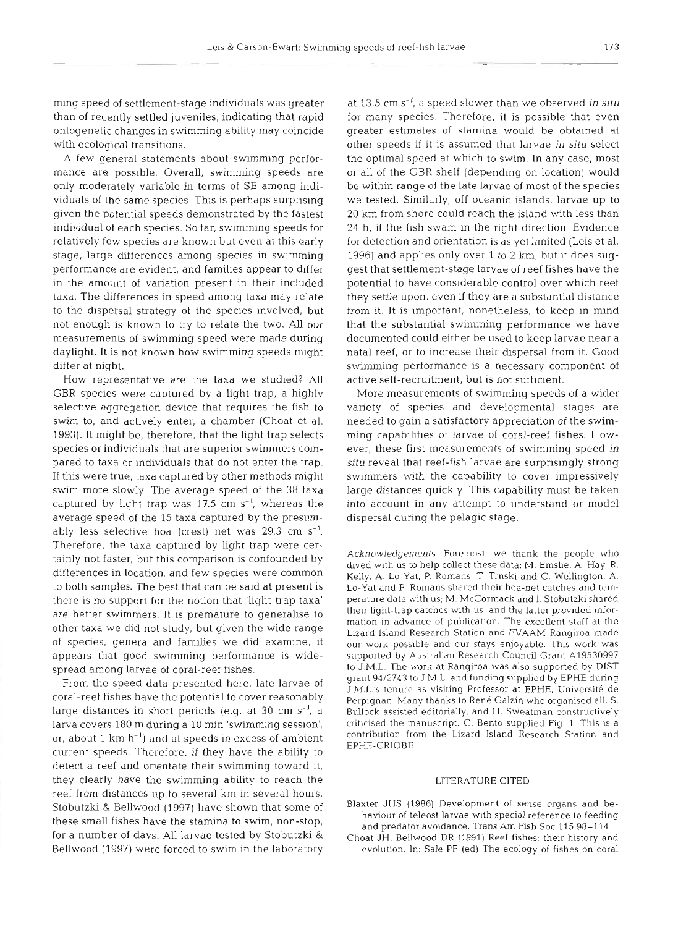ming speed of settlement-stage individuals was greater than of recently settled juveniles, indicating that rapid ontogenetic changes in swimming ability may coincide with ecological transitions.

A few general statements about swimming performance are possible. Overall, swimming speeds are only moderately variable in terms of SE among individuals of the same species. This is perhaps surprising given the potential speeds demonstrated by the fastest individual of each species. So far, swimming speeds for relatively few species are known but even at this early stage, large differences among species in swimming performance are evident, and families appear to differ in the amount of variation present in their included taxa. The differences in speed among taxa may relate to the dispersal strategy of the species involved, but not enough is known to try to relate the two. All our measurements of swimming speed were made during daylight. It is not known how swimming speeds might differ at night.

How representative are the taxa we studied? All GBR species were captured by a light trap, a highly selective aggregation device that requires the fish to swim to, and actively enter, a chamber (Choat et al. 1993). It might be, therefore, that the light trap selects species or individuals that are superior swimmers compared to taxa or individuals that do not enter the trap. If this were true, taxa captured by other methods might swim more slowly. The average speed of the 38 taxa captured by light trap was  $17.5 \text{ cm s}^{-1}$ , whereas the average speed of the 15 taxa captured by the presumably less selective hoa (crest) net was 29.3 cm  $s^{-1}$ . Therefore, the taxa captured by light trap were certainly not faster, but this comparison is confounded by differences in location, and few species were common to both samples. The best that can be said at present is there is no support for the notion that 'light-trap taxa' are better swimmers. It is premature to generalise to other taxa we did not study, but given the wide range of species, genera and families we did examine, it appears that good swimming performance is widespread among larvae of coral-reef fishes.

From the speed data presented here, late larvae of coral-reef fishes have the potential to cover reasonably large distances in short periods (e.g. at 30 cm  $s^{-1}$ , a larva covers 180 m during a 10 min 'swimming session', or, about 1 km  $h^{-1}$ ) and at speeds in excess of ambient current speeds. Therefore, if they have the ability to detect a reef and orientate their swimming toward it, they clearly have the swimming ability to reach the reef from distances up to several km in several hours. Stobutzki & Bellwood (1997) have shown that some of these small fishes have the stamina to swim, non-stop, for a number of days. All larvae tested by Stobutzki & Bellwood (1997) were forced to swim in the laboratory

at 13.5 cm  $s^{-1}$ , a speed slower than we observed in situ for many species. Therefore, it is possible that even greater estimates of stamina would be obtained at other speeds if it is assumed that larvae in **situ** select the optimal speed at which to swim. In any case, most or all of the GBR shelf (depending on location) would be within range of the late larvae of most of the species we tested. Similarly, off oceanic islands, larvae up to 20 km from shore could reach the island with less than 24 h, if the fish swam in the right direction. Evidence for detection and orientation is as yet limited (Leis et al. 1996) and applies only over 1 to 2 km, but it does suggest that settlement-stage larvae of reef fishes have the potential to have considerable control over which reef they settle upon, even if they are a substantial distance from it. It is important, nonetheless, to keep in mind that the substantial swimming performance we have documented could either be used to keep larvae near a natal reef, or to increase their dispersal from it. Good swimming performance is a necessary component of active self-recruitment, but is not sufficient.

More measurements of swimming speeds of a wider variety of species and developmental stages are needed to gain a satisfactory appreciation of the swimming capabilities of larvae of coral-reef fishes. However, these first measurements of swimming speed in situ reveal that reef-fish larvae are surprisingly strong swimmers with the capability to cover impressively large distances quickly. This capability must be taken into account in any attempt to understand or model dispersal during the pelagic stage.

Acknowledgements. Foremost, we thank the people who dived with us to help collect these data: M. Emslie. A. Hay, R. Kelly. A. Lo-Yat, P. Romans, T Trnski and C. Wellington. A. Lo-Yat and P. Romans shared their hoa-net catches and temperature data with us; M. McCormack and I. Stobutzki shared their light-trap catches with us, and the latter provided information in advance of publication. The excellent staff at the Lizard Island Research Station and EVAAM Rangiroa made our work possible and our stays enjoyable. This work was supported by Australian Research Council Grant A19530997 to J.M.L. The work at Rangiroa was also supported by DIST grant **94/2743** to J.M.L. and funding supplied by EPHE during J.M.L.'s tenure as visiting Professor at EPHE. Universite de Perpignan. Many thanks to René Galzin who organised all. S. Bullock assisted editorially, and H. Sweatman constructively criticised the manuscript. C. Bento supplied Fig. 1 This is a contribution from the Lizard Island Research Station and EPHE-CRIOBE.

#### LITERATURE CITED

- Blaxter JHS (1986) Development of sense organs and behaviour of teleost larvae with special reference to feeding and predator avoidance. Trans Am Fish Soc 115:98-114
- Choat JH, Bellwood DR (1991) Reef fishes: their history and evolution. In: Sale PF (ed) The ecology of fishes on coral